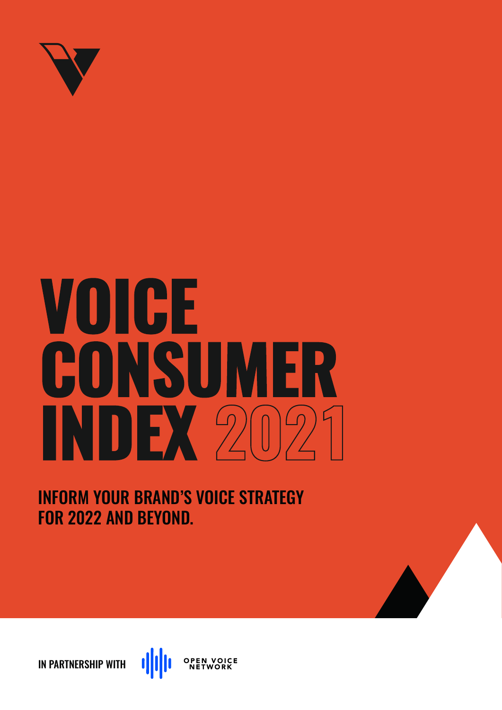

# VOICE CONSUMER **INDEX** 2021

INFORM YOUR BRAND'S VOICE STRATEGY FOR 2022 AND BEYOND.

**dilli OPEN VOICE**<br>NETWORK IN PARTNERSHIP WITH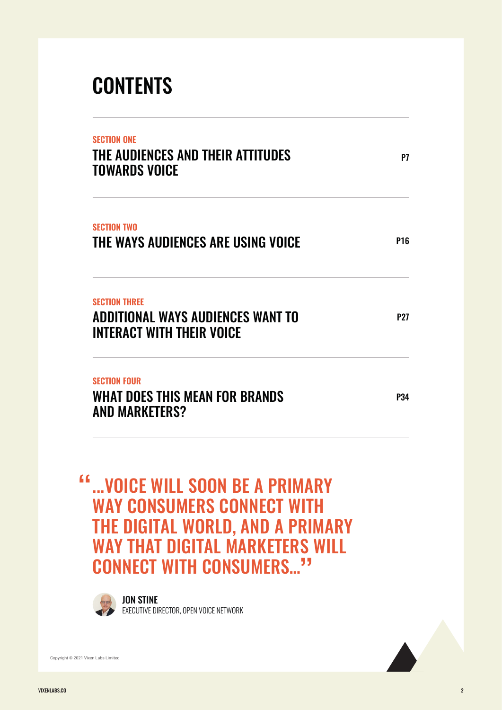# **CONTENTS**

| SFCTION ONF<br>THE AUDIENCES AND THEIR ATTITUDES<br><b>TOWARDS VOICE</b><br><b>SECTION TWO</b><br>THE WAYS AUDIENCES ARE USING VOICE<br><b>SECTION THRFF</b><br>ADDITIONAL WAYS AUDIENCES WANT TO<br><b>INTERACT WITH THEIR VOICE</b><br><b>SECTION FOUR</b><br>WHAT DOES THIS MEAN FOR BRANDS<br><b>AND MARKETERS?</b> | P7                                                                                                                                                                                               |                 |
|-------------------------------------------------------------------------------------------------------------------------------------------------------------------------------------------------------------------------------------------------------------------------------------------------------------------------|--------------------------------------------------------------------------------------------------------------------------------------------------------------------------------------------------|-----------------|
|                                                                                                                                                                                                                                                                                                                         |                                                                                                                                                                                                  | P <sub>16</sub> |
|                                                                                                                                                                                                                                                                                                                         |                                                                                                                                                                                                  | <b>P27</b>      |
|                                                                                                                                                                                                                                                                                                                         |                                                                                                                                                                                                  | P34             |
|                                                                                                                                                                                                                                                                                                                         | <b>VOICE WILL SOON BE A PRIMARY</b><br><b>WAY CONSUMERS CONNECT WITH</b><br><b>THE DIGITAL WORLD, AND A PRIMARY</b><br><b>WAY THAT DIGITAL MARKETERS WILL</b><br><b>CONNECT WITH CONSUMERS''</b> |                 |
|                                                                                                                                                                                                                                                                                                                         | <b>JON STINE</b>                                                                                                                                                                                 |                 |

EXECUTIVE DIRECTOR, OPEN VOICE NETWORK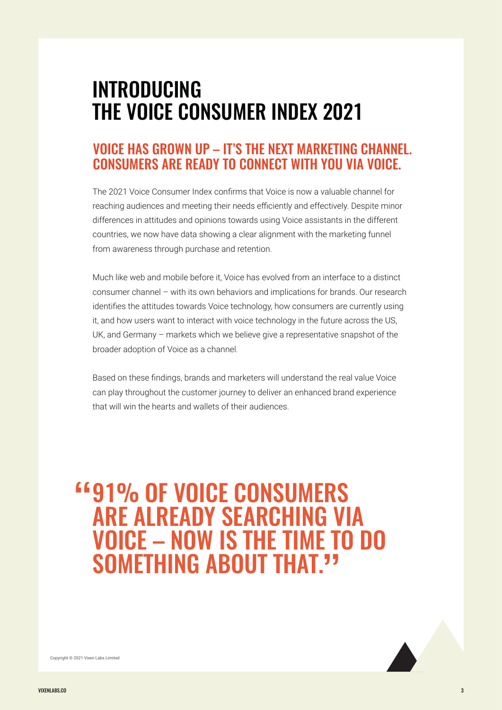## INTRODUCING THE VOICE CONSUMER INDEX 2021

## VOICE HAS GROWN UP – IT'S THE NEXT MARKETING CHANNEL. CONSUMERS ARE READY TO CONNECT WITH YOU VIA VOICE.

The 2021 Voice Consumer Index confirms that Voice is now a valuable channel for reaching audiences and meeting their needs efficiently and effectively. Despite minor differences in attitudes and opinions towards using Voice assistants in the different countries, we now have data showing a clear alignment with the marketing funnel from awareness through purchase and retention.

Much like web and mobile before it, Voice has evolved from an interface to a distinct consumer channel – with its own behaviors and implications for brands. Our research identifies the attitudes towards Voice technology, how consumers are currently using it, and how users want to interact with voice technology in the future across the US, UK, and Germany – markets which we believe give a representative snapshot of the broader adoption of Voice as a channel.

Based on these findings, brands and marketers will understand the real value Voice can play throughout the customer journey to deliver an enhanced brand experience that will win the hearts and wallets of their audiences.

## 91% OF VOICE CONSUMERS ARE ALREADY SEARCHING VIA VOICE – NOW IS THE TIME TO DO SOMETHING ABOUT THAT. ""

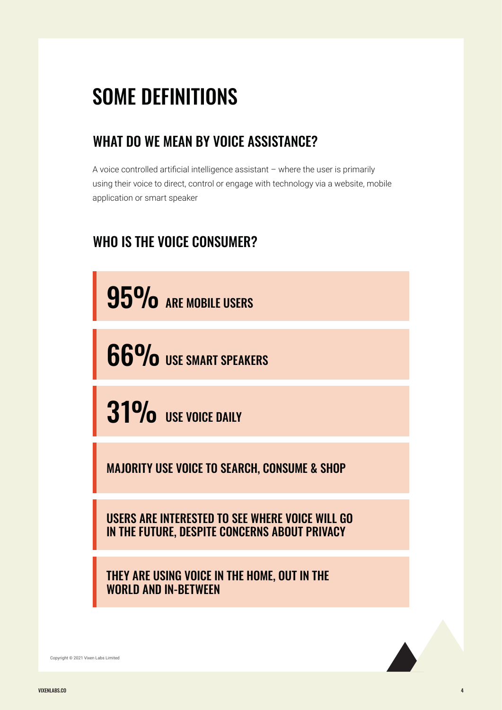# SOME DEFINITIONS

## WHAT DO WE MEAN BY VOICE ASSISTANCE?

A voice controlled artificial intelligence assistant – where the user is primarily using their voice to direct, control or engage with technology via a website, mobile application or smart speaker

## WHO IS THE VOICE CONSUMER?

95% ARE MOBILE USERS

66% USE SMART SPEAKERS

 $31\%$  use voice daily

MAJORITY USE VOICE TO SEARCH, CONSUME & SHOP

USERS ARE INTERESTED TO SEE WHERE VOICE WILL GO IN THE FUTURE, DESPITE CONCERNS ABOUT PRIVACY

THEY ARE USING VOICE IN THE HOME, OUT IN THE WORLD AND IN-BETWEEN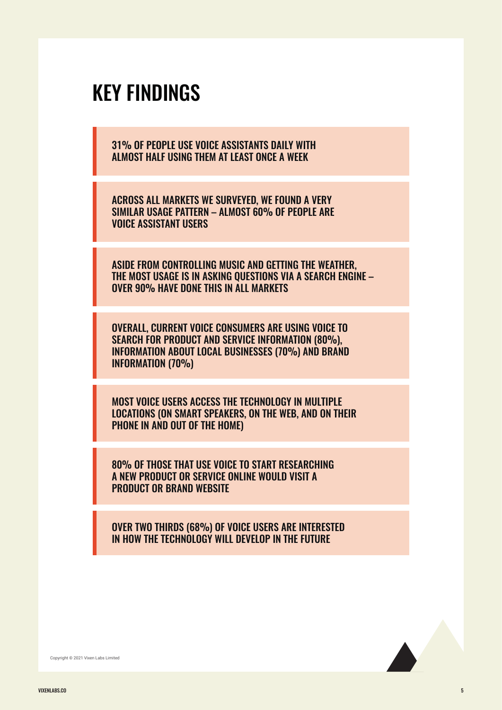## KEY FINDINGS

31% OF PEOPLE USE VOICE ASSISTANTS DAILY WITH ALMOST HALF USING THEM AT LEAST ONCE A WEEK

ACROSS ALL MARKETS WE SURVEYED, WE FOUND A VERY SIMILAR USAGE PATTERN – ALMOST 60% OF PEOPLE ARE VOICE ASSISTANT USERS

ASIDE FROM CONTROLLING MUSIC AND GETTING THE WEATHER, THE MOST USAGE IS IN ASKING QUESTIONS VIA A SEARCH ENGINE – OVER 90% HAVE DONE THIS IN ALL MARKETS

OVERALL, CURRENT VOICE CONSUMERS ARE USING VOICE TO SEARCH FOR PRODUCT AND SERVICE INFORMATION (80%), INFORMATION ABOUT LOCAL BUSINESSES (70%) AND BRAND INFORMATION (70%)

MOST VOICE USERS ACCESS THE TECHNOLOGY IN MULTIPLE LOCATIONS (ON SMART SPEAKERS, ON THE WEB, AND ON THEIR PHONE IN AND OUT OF THE HOME)

80% OF THOSE THAT USE VOICE TO START RESEARCHING A NEW PRODUCT OR SERVICE ONLINE WOULD VISIT A PRODUCT OR BRAND WEBSITE

OVER TWO THIRDS (68%) OF VOICE USERS ARE INTERESTED IN HOW THE TECHNOLOGY WILL DEVELOP IN THE FUTURE

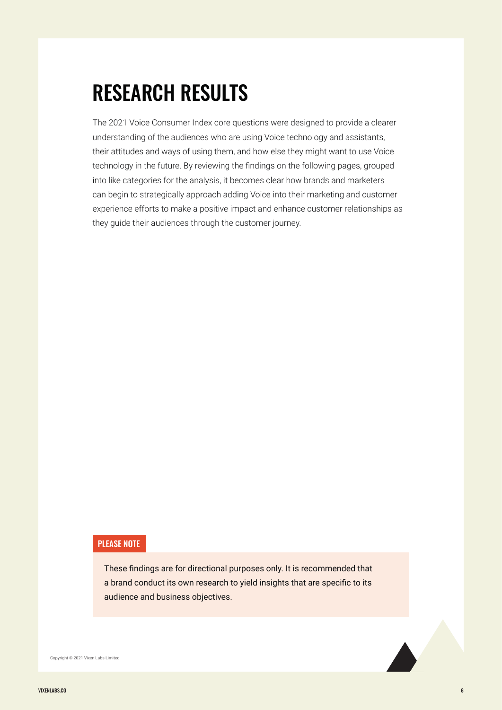# RESEARCH RESULTS

The 2021 Voice Consumer Index core questions were designed to provide a clearer understanding of the audiences who are using Voice technology and assistants, their attitudes and ways of using them, and how else they might want to use Voice technology in the future. By reviewing the findings on the following pages, grouped into like categories for the analysis, it becomes clear how brands and marketers can begin to strategically approach adding Voice into their marketing and customer experience efforts to make a positive impact and enhance customer relationships as they guide their audiences through the customer journey.

#### PLEASE NOTE

These findings are for directional purposes only. It is recommended that a brand conduct its own research to yield insights that are specific to its audience and business objectives.

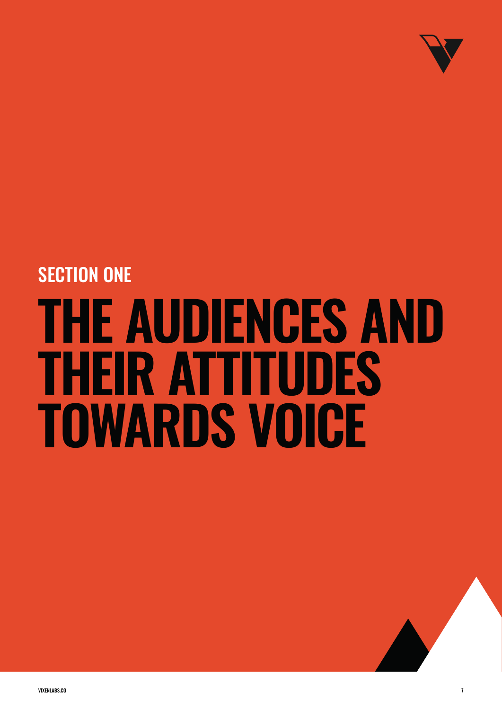

# **THE AUDIENCES AND THEIR ATTITUDES TOWARDS VOICE** SECTION ONE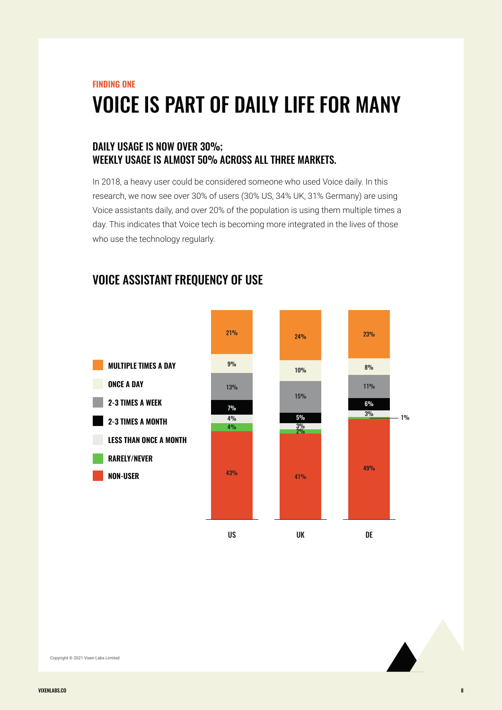## **FINDING ONE** VOICE IS PART OF DAILY LIFE FOR MANY

#### DAILY USAGE IS NOW OVER 30%: WEEKLY USAGE IS ALMOST 50% ACROSS ALL THREE MARKETS.

In 2018, a heavy user could be considered someone who used Voice daily. In this research, we now see over 30% of users (30% US, 34% UK, 31% Germany) are using Voice assistants daily, and over 20% of the population is using them multiple times a day. This indicates that Voice tech is becoming more integrated in the lives of those who use the technology regularly.

## VOICE ASSISTANT FREQUENCY OF USE



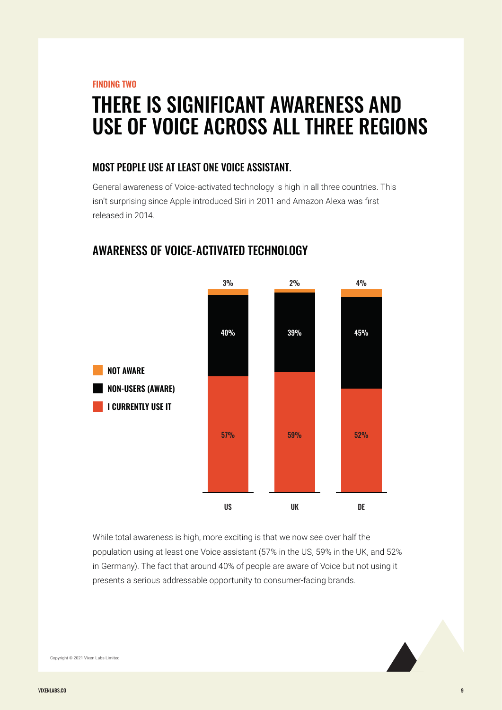**FINDING TWO**

## THERE IS SIGNIFICANT AWARENESS AND USE OF VOICE ACROSS ALL THREE REGIONS

#### MOST PEOPLE USE AT LEAST ONE VOICE ASSISTANT.

General awareness of Voice-activated technology is high in all three countries. This isn't surprising since Apple introduced Siri in 2011 and Amazon Alexa was first released in 2014.



### AWARENESS OF VOICE-ACTIVATED TECHNOLOGY

While total awareness is high, more exciting is that we now see over half the population using at least one Voice assistant (57% in the US, 59% in the UK, and 52% in Germany). The fact that around 40% of people are aware of Voice but not using it presents a serious addressable opportunity to consumer-facing brands.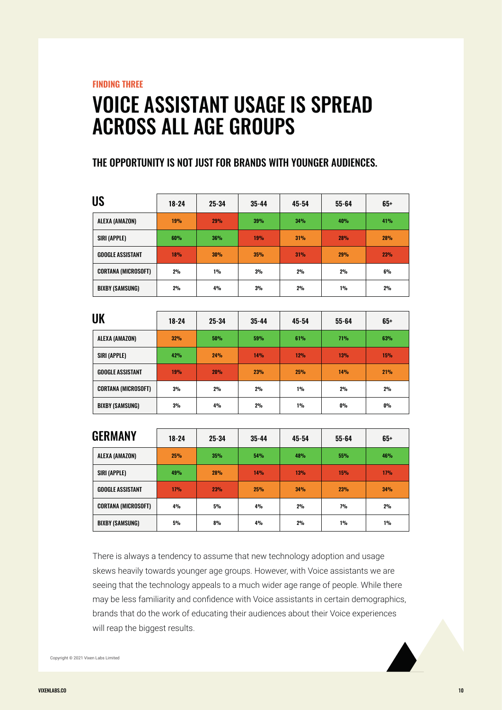**FINDING THREE**

## VOICE ASSISTANT USAGE IS SPREAD ACROSS ALL AGE GROUPS

#### THE OPPORTUNITY IS NOT JUST FOR BRANDS WITH YOUNGER AUDIENCES.

| <b>US</b>                  | $18 - 24$  | $25 - 34$  | $35 - 44$ | 45-54 | $55 - 64$  | 65+        |
|----------------------------|------------|------------|-----------|-------|------------|------------|
| ALEXA (AMAZON)             | 19%        | <b>29%</b> | 39%       | 34%   | 40%        | 41%        |
| SIRI (APPLE)               | 60%        | 36%        | 19%       | 31%   | <b>28%</b> | <b>28%</b> |
| <b>GOOGLE ASSISTANT</b>    | <b>18%</b> | 30%        | 35%       | 31%   | <b>29%</b> | <b>23%</b> |
| <b>CORTANA (MICROSOFT)</b> | 2%         | $1\%$      | 3%        | 2%    | 2%         | 6%         |
| BIXBY (SAMSUNG)            | 2%         | 4%         | 3%        | 2%    | 1%         | 2%         |

| UK                         | $18 - 24$  | $25 - 34$ | $35 - 44$ | 45-54 | $55 - 64$  | 65+   |
|----------------------------|------------|-----------|-----------|-------|------------|-------|
| ALEXA (AMAZON)             | 32%        | 50%       | 59%       | 61%   | <b>71%</b> | 63%   |
| SIRI (APPLE)               | 42%        | 24%       | 14%       | 12%   | <b>13%</b> | 15%   |
| <b>GOOGLE ASSISTANT</b>    | <b>19%</b> | 20%       | 23%       | 25%   | 14%        | 21%   |
| <b>CORTANA (MICROSOFT)</b> | 3%         | 2%        | 2%        | 1%    | 2%         | 2%    |
| BIXBY (SAMSUNG)            | 3%         | 4%        | 2%        | 1%    | $0\%$      | $0\%$ |

| <b>GERMANY</b>             | $18 - 24$ | 25-34      | $35 - 44$ | 45-54 | $55 - 64$ | 65+ |
|----------------------------|-----------|------------|-----------|-------|-----------|-----|
| ALEXA (AMAZON)             | 25%       | 35%        | 54%       | 48%   | 55%       | 46% |
| SIRI (APPLE)               | 49%       | <b>28%</b> | 14%       | 13%   | 15%       | 17% |
| <b>GOOGLE ASSISTANT</b>    | 17%       | 23%        | 25%       | 34%   | 23%       | 34% |
| <b>CORTANA (MICROSOFT)</b> | 4%        | 5%         | 4%        | 2%    | 7%        | 2%  |
| <b>BIXBY (SAMSUNG)</b>     | 5%        | 8%         | 4%        | 2%    | 1%        | 1%  |

There is always a tendency to assume that new technology adoption and usage skews heavily towards younger age groups. However, with Voice assistants we are seeing that the technology appeals to a much wider age range of people. While there may be less familiarity and confidence with Voice assistants in certain demographics, brands that do the work of educating their audiences about their Voice experiences will reap the biggest results.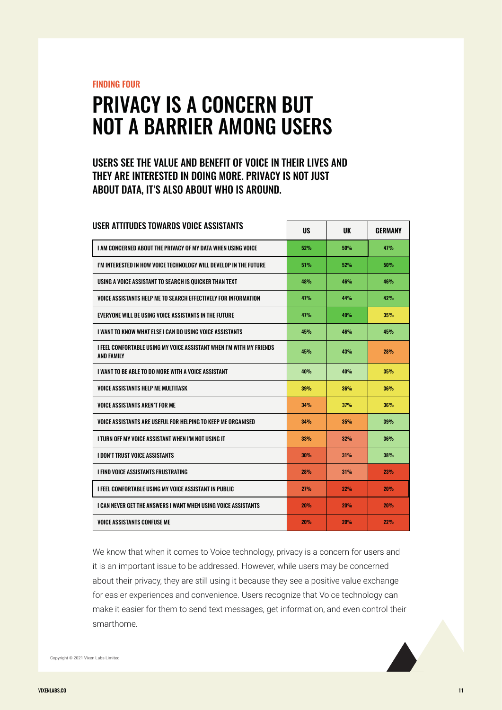**FINDING FOUR**

## PRIVACY IS A CONCERN BUT NOT A BARRIER AMONG USERS

#### USERS SEE THE VALUE AND BENEFIT OF VOICE IN THEIR LIVES AND THEY ARE INTERESTED IN DOING MORE. PRIVACY IS NOT JUST ABOUT DATA, IT'S ALSO ABOUT WHO IS AROUND.

| USER ATTITUDES TOWARDS VOICE ASSISTANTS                                                   | <b>US</b>  | <b>UK</b>  | <b>GERMANY</b> |
|-------------------------------------------------------------------------------------------|------------|------------|----------------|
| I AM CONCERNED ABOUT THE PRIVACY OF MY DATA WHEN USING VOICE                              | 52%        | 50%        | 47%            |
| I'M INTERESTED IN HOW VOICE TECHNOLOGY WILL DEVELOP IN THE FUTURE                         | 51%        | 52%        | 50%            |
| USING A VOICE ASSISTANT TO SEARCH IS QUICKER THAN TEXT                                    | 48%        | 46%        | 46%            |
| VOICE ASSISTANTS HELP ME TO SEARCH EFFECTIVELY FOR INFORMATION                            | 47%        | 44%        | 42%            |
| EVERYONE WILL BE USING VOICE ASSISTANTS IN THE FUTURE                                     | 47%        | 49%        | 35%            |
| I WANT TO KNOW WHAT FI SF I CAN DO USING VOICF ASSISTANTS                                 | 45%        | 46%        | 45%            |
| I FEEL COMFORTABLE USING MY VOICE ASSISTANT WHEN I'M WITH MY FRIENDS<br><b>AND FAMILY</b> | 45%        | 43%        | <b>28%</b>     |
| I WANT TO BE ABI F TO DO MORE WITH A VOICE ASSISTANT                                      | 40%        | 40%        | 35%            |
| VOICE ASSISTANTS HELP ME MULTITASK                                                        | 39%        | 36%        | 36%            |
| <b>VOICE ASSISTANTS AREN'T FOR ME</b>                                                     | 34%        | 37%        | <b>36%</b>     |
| VOICE ASSISTANTS ARE USEFUL FOR HELPING TO KEEP ME ORGANISED                              | 34%        | 35%        | 39%            |
| I TURN OFF MY VOICE ASSISTANT WHEN I'M NOT USING IT                                       | 33%        | 32%        | <b>36%</b>     |
| <b>I DON'T TRUST VOICE ASSISTANTS</b>                                                     | <b>30%</b> | 31%        | <b>38%</b>     |
| I FIND VOICE ASSISTANTS FRUSTRATING                                                       | <b>28%</b> | 31%        | 23%            |
| I FEEL COMFORTABLE USING MY VOICE ASSISTANT IN PUBLIC                                     | 27%        | 22%        | 20%            |
| I CAN NEVER GET THE ANSWERS I WANT WHEN USING VOICE ASSISTANTS                            | 20%        | <b>20%</b> | <b>20%</b>     |
| <b>VOICE ASSISTANTS CONFUSE ME</b>                                                        | 20%        | 20%        | 22%            |

We know that when it comes to Voice technology, privacy is a concern for users and it is an important issue to be addressed. However, while users may be concerned about their privacy, they are still using it because they see a positive value exchange for easier experiences and convenience. Users recognize that Voice technology can make it easier for them to send text messages, get information, and even control their smarthome.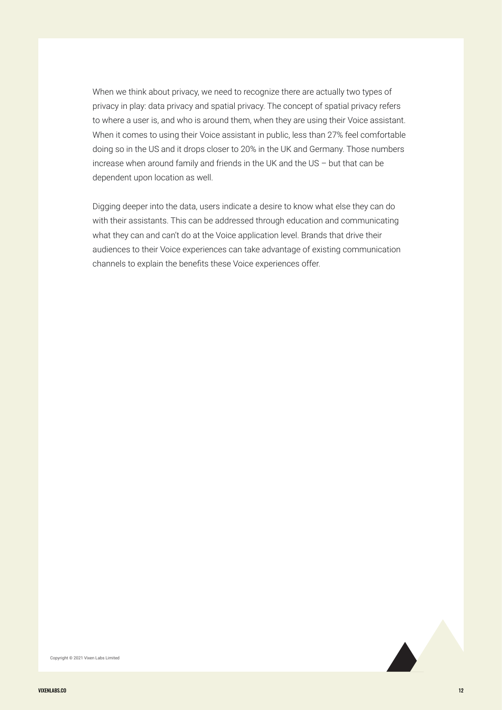When we think about privacy, we need to recognize there are actually two types of privacy in play: data privacy and spatial privacy. The concept of spatial privacy refers to where a user is, and who is around them, when they are using their Voice assistant. When it comes to using their Voice assistant in public, less than 27% feel comfortable doing so in the US and it drops closer to 20% in the UK and Germany. Those numbers increase when around family and friends in the UK and the US – but that can be dependent upon location as well.

Digging deeper into the data, users indicate a desire to know what else they can do with their assistants. This can be addressed through education and communicating what they can and can't do at the Voice application level. Brands that drive their audiences to their Voice experiences can take advantage of existing communication channels to explain the benefits these Voice experiences offer.

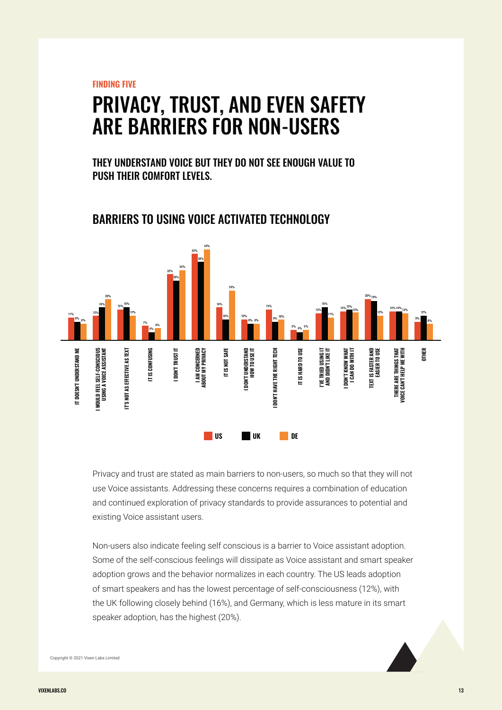**FINDING FIVE**

## PRIVACY, TRUST, AND EVEN SAFETY ARE BARRIERS FOR NON-USERS

THEY UNDERSTAND VOICE BUT THEY DO NOT SEE ENOUGH VALUE TO PUSH THEIR COMFORT LEVELS.



#### BARRIERS TO USING VOICE ACTIVATED TECHNOLOGY

Privacy and trust are stated as main barriers to non-users, so much so that they will not use Voice assistants. Addressing these concerns requires a combination of education and continued exploration of privacy standards to provide assurances to potential and existing Voice assistant users.

Non-users also indicate feeling self conscious is a barrier to Voice assistant adoption. Some of the self-conscious feelings will dissipate as Voice assistant and smart speaker adoption grows and the behavior normalizes in each country. The US leads adoption of smart speakers and has the lowest percentage of self-consciousness (12%), with the UK following closely behind (16%), and Germany, which is less mature in its smart speaker adoption, has the highest (20%).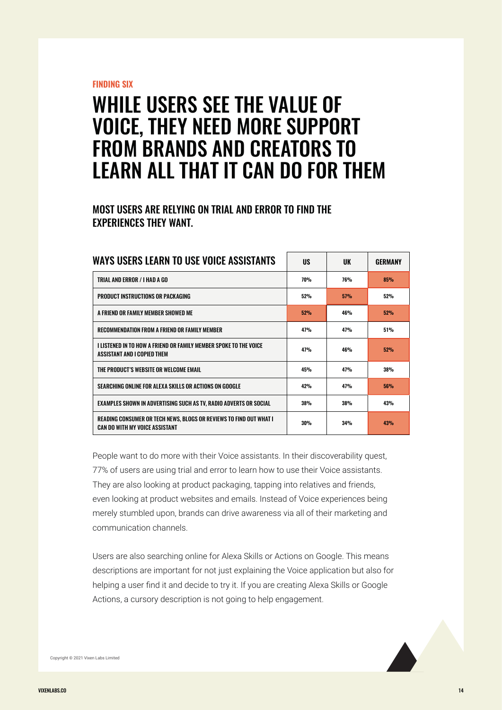#### **FINDING SIX**

## WHILE USERS SEE THE VALUE OF VOICE, THEY NEED MORE SUPPORT FROM BRANDS AND CREATORS TO LEARN ALL THAT IT CAN DO FOR THEM

#### MOST USERS ARE RELYING ON TRIAL AND ERROR TO FIND THE EXPERIENCES THEY WANT.

| WAYS USERS LEARN TO USE VOICE ASSISTANTS                                                             | US         | UK         | GERMANY    |
|------------------------------------------------------------------------------------------------------|------------|------------|------------|
| TRIAL AND ERROR / I HAD A GO                                                                         | 70%        | <b>76%</b> | 85%        |
| PRODUCT INSTRUCTIONS OR PACKAGING                                                                    | 52%        | 57%        | 52%        |
| A FRIEND OR FAMILY MEMBER SHOWED ME                                                                  | <b>52%</b> | 46%        | 52%        |
| RECOMMENDATION FROM A FRIEND OR FAMILY MEMBER                                                        | 47%        | 47%        | 51%        |
| I LISTENED IN TO HOW A FRIEND OR FAMILY MEMBER SPOKE TO THE VOICE<br>ASSISTANT AND I COPIED THEM     | 47%        | 46%        | 52%        |
| THE PRODUCT'S WEBSITE OR WELCOME EMAIL                                                               | 45%        | 47%        | <b>38%</b> |
| SEARCHING ONLINE FOR ALEXA SKILLS OR ACTIONS ON GOOGLE                                               | 42%        | 47%        | <b>56%</b> |
| EXAMPLES SHOWN IN ADVERTISING SUCH AS TV, RADIO ADVERTS OR SOCIAL                                    | 38%        | <b>38%</b> | 43%        |
| READING CONSUMER OR TECH NEWS, BLOGS OR REVIEWS TO FIND OUT WHAT I<br>CAN DO WITH MY VOICE ASSISTANT | 30%        | 34%        | 43%        |

People want to do more with their Voice assistants. In their discoverability quest, 77% of users are using trial and error to learn how to use their Voice assistants. They are also looking at product packaging, tapping into relatives and friends, even looking at product websites and emails. Instead of Voice experiences being merely stumbled upon, brands can drive awareness via all of their marketing and communication channels.

Users are also searching online for Alexa Skills or Actions on Google. This means descriptions are important for not just explaining the Voice application but also for helping a user find it and decide to try it. If you are creating Alexa Skills or Google Actions, a cursory description is not going to help engagement.

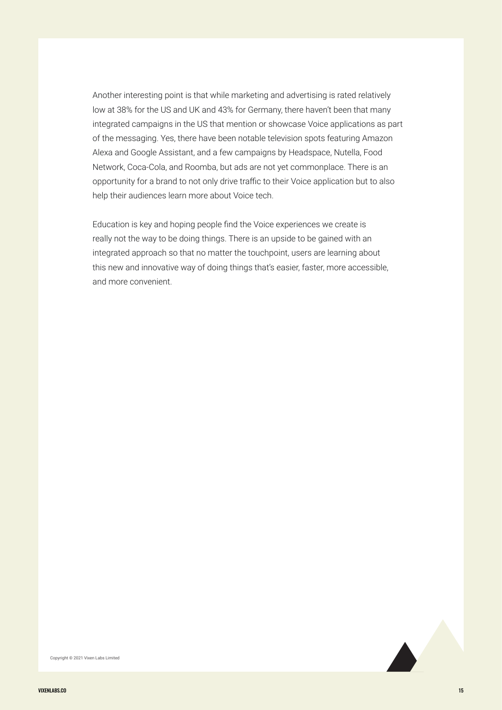Another interesting point is that while marketing and advertising is rated relatively low at 38% for the US and UK and 43% for Germany, there haven't been that many integrated campaigns in the US that mention or showcase Voice applications as part of the messaging. Yes, there have been notable television spots featuring Amazon Alexa and Google Assistant, and a few campaigns by Headspace, Nutella, Food Network, Coca-Cola, and Roomba, but ads are not yet commonplace. There is an opportunity for a brand to not only drive traffic to their Voice application but to also help their audiences learn more about Voice tech.

Education is key and hoping people find the Voice experiences we create is really not the way to be doing things. There is an upside to be gained with an integrated approach so that no matter the touchpoint, users are learning about this new and innovative way of doing things that's easier, faster, more accessible, and more convenient.

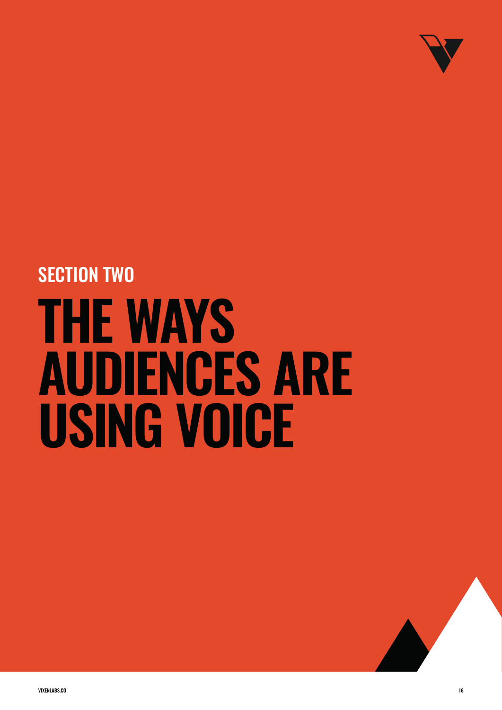

# **THE WAYS AUDIENCES ARE USING VOICE**  SECTION TWO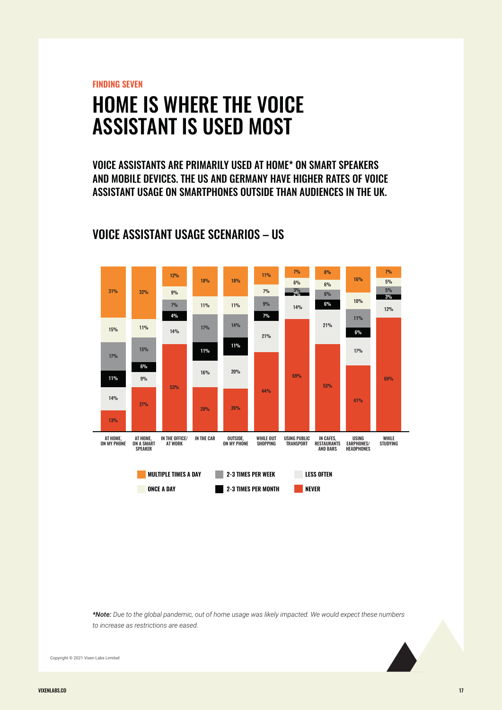**FINDING SEVEN**

## HOME IS WHERE THE VOICE ASSISTANT IS USED MOST

VOICE ASSISTANTS ARE PRIMARILY USED AT HOME\* ON SMART SPEAKERS AND MOBILE DEVICES. THE US AND GERMANY HAVE HIGHER RATES OF VOICE ASSISTANT USAGE ON SMARTPHONES OUTSIDE THAN AUDIENCES IN THE UK.



### VOICE ASSISTANT USAGE SCENARIOS – US

*\*Note: Due to the global pandemic, out of home usage was likely impacted. We would expect these numbers to increase as restrictions are eased.*

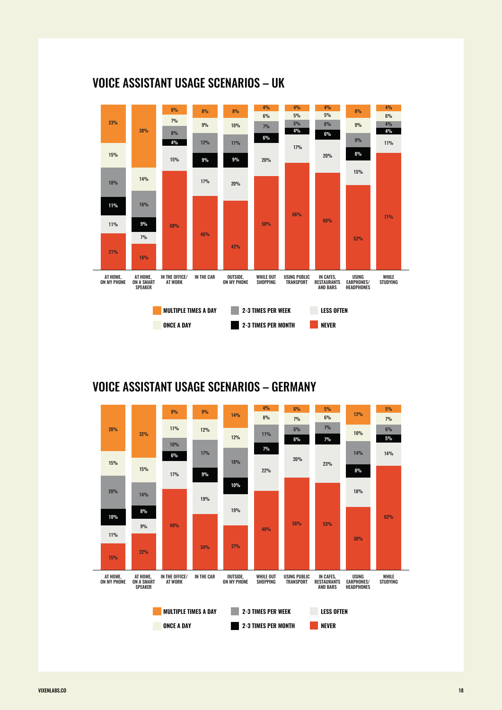

## VOICE ASSISTANT USAGE SCENARIOS – UK

### VOICE ASSISTANT USAGE SCENARIOS – GERMANY

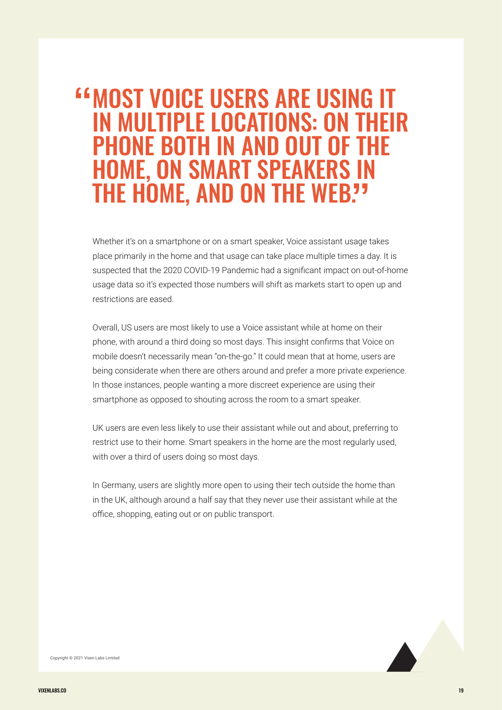## MOST VOICE USERS ARE USING IT " IN MULTIPLE LOCATIONS: ON THEIR PHONE BOTH IN AND OUT OF THE HOME, ON SMART SPEAKERS IN THE HOME, AND ON THE WEB?"

Whether it's on a smartphone or on a smart speaker, Voice assistant usage takes place primarily in the home and that usage can take place multiple times a day. It is suspected that the 2020 COVID-19 Pandemic had a significant impact on out-of-home usage data so it's expected those numbers will shift as markets start to open up and restrictions are eased.

Overall, US users are most likely to use a Voice assistant while at home on their phone, with around a third doing so most days. This insight confirms that Voice on mobile doesn't necessarily mean "on-the-go." It could mean that at home, users are being considerate when there are others around and prefer a more private experience. In those instances, people wanting a more discreet experience are using their smartphone as opposed to shouting across the room to a smart speaker.

UK users are even less likely to use their assistant while out and about, preferring to restrict use to their home. Smart speakers in the home are the most regularly used, with over a third of users doing so most days.

In Germany, users are slightly more open to using their tech outside the home than in the UK, although around a half say that they never use their assistant while at the office, shopping, eating out or on public transport.

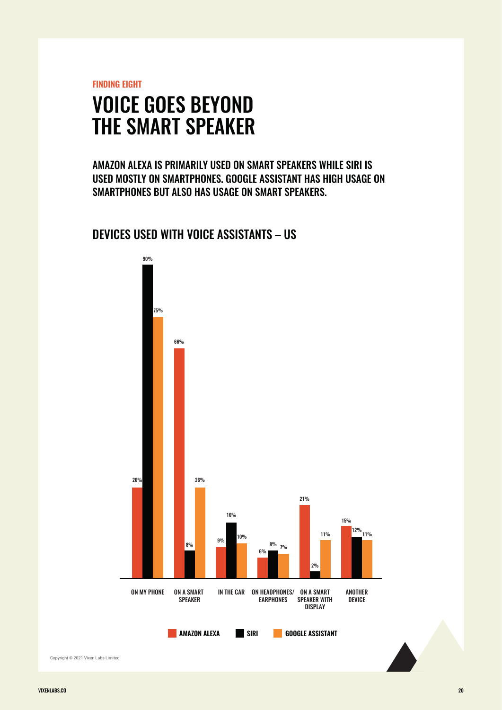**FINDING EIGHT**

## VOICE GOES BEYOND THE SMART SPEAKER

AMAZON ALEXA IS PRIMARILY USED ON SMART SPEAKERS WHILE SIRI IS USED MOSTLY ON SMARTPHONES. GOOGLE ASSISTANT HAS HIGH USAGE ON SMARTPHONES BUT ALSO HAS USAGE ON SMART SPEAKERS.

#### DEVICES USED WITH VOICE ASSISTANTS – US

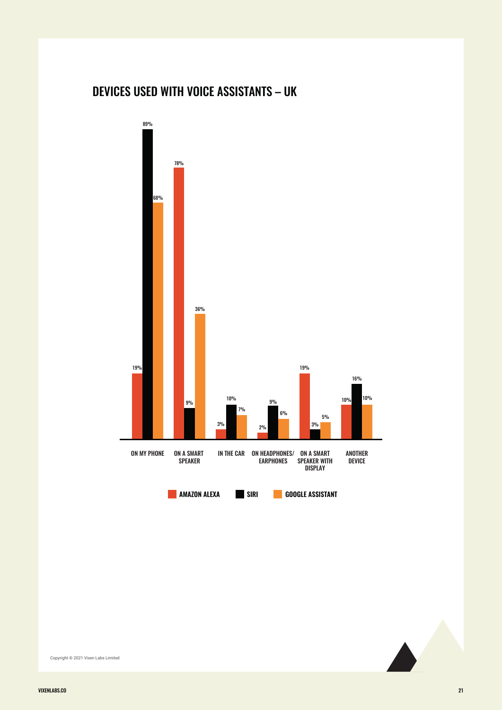## DEVICES USED WITH VOICE ASSISTANTS – UK



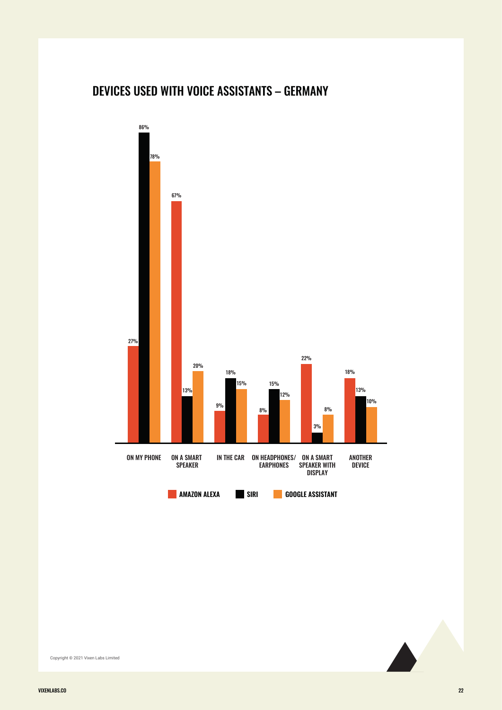## DEVICES USED WITH VOICE ASSISTANTS – GERMANY



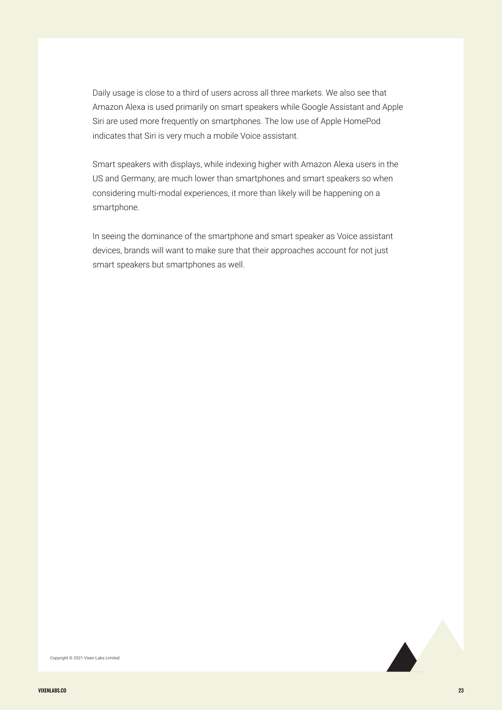Daily usage is close to a third of users across all three markets. We also see that Amazon Alexa is used primarily on smart speakers while Google Assistant and Apple Siri are used more frequently on smartphones. The low use of Apple HomePod indicates that Siri is very much a mobile Voice assistant.

Smart speakers with displays, while indexing higher with Amazon Alexa users in the US and Germany, are much lower than smartphones and smart speakers so when considering multi-modal experiences, it more than likely will be happening on a smartphone.

In seeing the dominance of the smartphone and smart speaker as Voice assistant devices, brands will want to make sure that their approaches account for not just smart speakers but smartphones as well.

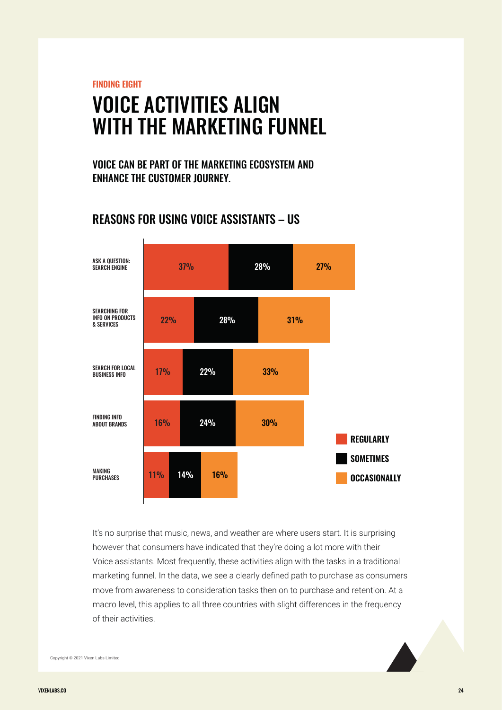**FINDING EIGHT**

## VOICE ACTIVITIES ALIGN WITH THE MARKETING FUNNEL

VOICE CAN BE PART OF THE MARKETING ECOSYSTEM AND ENHANCE THE CUSTOMER JOURNEY.

### REASONS FOR USING VOICE ASSISTANTS – US



It's no surprise that music, news, and weather are where users start. It is surprising however that consumers have indicated that they're doing a lot more with their Voice assistants. Most frequently, these activities align with the tasks in a traditional marketing funnel. In the data, we see a clearly defined path to purchase as consumers move from awareness to consideration tasks then on to purchase and retention. At a macro level, this applies to all three countries with slight differences in the frequency of their activities.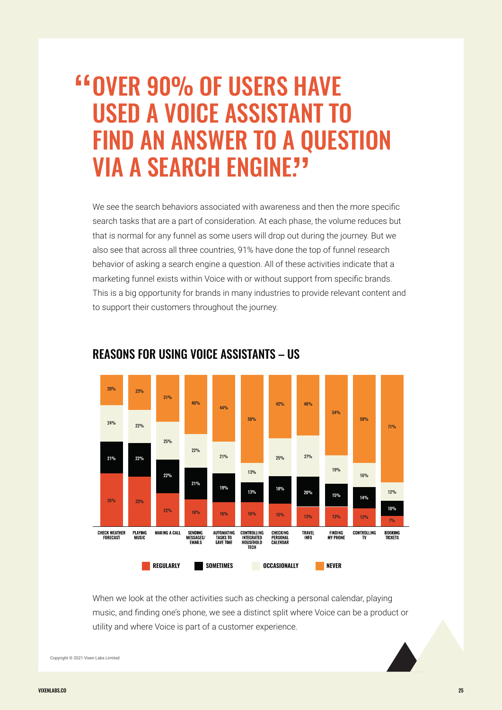# **EXAMPLE 1988 FOR SHAVE 1989 FOR SHAVE**<br>The and voice assistant to USED A VOICE ASSISTANT TO **FIND AN ANSWER TO A QUESTION<br>VIA A SEARCH ENCINE?? VIA A SEARCH ENGINE?'**

We see the search behaviors associated with awareness and then the more specific search tasks that are a part of consideration. At each phase, the volume reduces but that is normal for any funnel as some users will drop out during the journey. But we also see that across all three countries, 91% have done the top of funnel research behavior of asking a search engine a question. All of these activities indicate that a marketing funnel exists within Voice with or without support from specific brands. This is a big opportunity for brands in many industries to provide relevant content and to support their customers throughout the journey.



#### REASONS FOR USING VOICE ASSISTANTS – US

When we look at the other activities such as checking a personal calendar, playing music, and finding one's phone, we see a distinct split where Voice can be a product or utility and where Voice is part of a customer experience.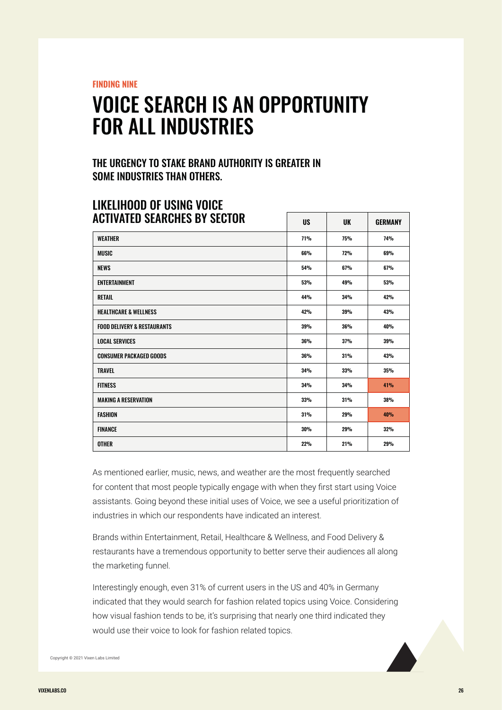**FINDING NINE**

## VOICE SEARCH IS AN OPPORTUNITY FOR ALL INDUSTRIES

#### THE URGENCY TO STAKE BRAND AUTHORITY IS GREATER IN SOME INDUSTRIES THAN OTHERS.

| <b>ACTIVATED SEARCHES BY SECTOR</b>    | <b>US</b>  | <b>UK</b>  | <b>GERMANY</b> |
|----------------------------------------|------------|------------|----------------|
| <b>WEATHER</b>                         | <b>71%</b> | <b>75%</b> | <b>74%</b>     |
| <b>MUSIC</b>                           | 66%        | 72%        | 69%            |
| <b>NEWS</b>                            | 54%        | 67%        | 67%            |
| <b>ENTERTAINMENT</b>                   | 53%        | 49%        | 53%            |
| <b>RETAIL</b>                          | 44%        | 34%        | 42%            |
| <b>HEALTHCARE &amp; WELLNESS</b>       | 42%        | 39%        | 43%            |
| <b>FOOD DELIVERY &amp; RESTAURANTS</b> | 39%        | 36%        | 40%            |
| <b>LOCAL SERVICES</b>                  | 36%        | 37%        | 39%            |
| <b>CONSUMER PACKAGED GOODS</b>         | 36%        | 31%        | 43%            |
| <b>TRAVEL</b>                          | 34%        | 33%        | 35%            |
| <b>FITNESS</b>                         | 34%        | 34%        | 41%            |
| <b>MAKING A RESERVATION</b>            | 33%        | 31%        | 38%            |
| <b>FASHION</b>                         | 31%        | 29%        | 40%            |
| <b>FINANCE</b>                         | 30%        | 29%        | 32%            |
| <b>OTHER</b>                           | <b>22%</b> | 21%        | <b>29%</b>     |

## LIKELIHOOD OF USING VOICE

As mentioned earlier, music, news, and weather are the most frequently searched for content that most people typically engage with when they first start using Voice assistants. Going beyond these initial uses of Voice, we see a useful prioritization of industries in which our respondents have indicated an interest.

Brands within Entertainment, Retail, Healthcare & Wellness, and Food Delivery & restaurants have a tremendous opportunity to better serve their audiences all along the marketing funnel.

Interestingly enough, even 31% of current users in the US and 40% in Germany indicated that they would search for fashion related topics using Voice. Considering how visual fashion tends to be, it's surprising that nearly one third indicated they would use their voice to look for fashion related topics.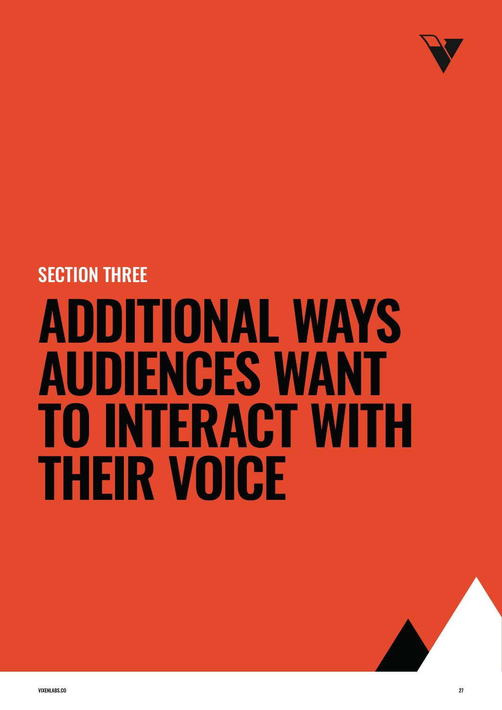

# **ADDITIONAL WAYS AUDIENCES WANT TO INTERACT WITH THEIR VOICE**  SECTION THREE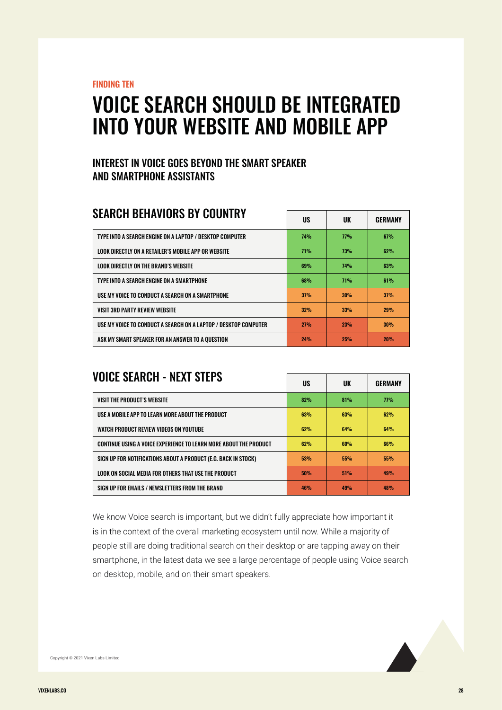**FINDING TEN**

## VOICE SEARCH SHOULD BE INTEGRATED INTO YOUR WEBSITE AND MOBILE APP

#### INTEREST IN VOICE GOES BEYOND THE SMART SPEAKER AND SMARTPHONE ASSISTANTS

### SEARCH BEHAVIORS BY COUNTRY

|                                                                 | UJ.        | υn         | GERMANI |
|-----------------------------------------------------------------|------------|------------|---------|
| TYPE INTO A SEARCH ENGINE ON A LAPTOP / DESKTOP COMPUTER        | <b>74%</b> | 77%        | 67%     |
| LOOK DIRECTLY ON A RETAILER'S MOBILE APP OR WEBSITE             | 71%        | <b>73%</b> | 62%     |
| LOOK DIRECTLY ON THE BRAND'S WEBSITE                            | 69%        | <b>74%</b> | 63%     |
| TYPE INTO A SEARCH ENGINE ON A SMARTPHONE                       | <b>68%</b> | 71%        | 61%     |
| USE MY VOICE TO CONDUCT A SEARCH ON A SMARTPHONE                | 37%        | 30%        | 37%     |
| <b>VISIT 3RD PARTY REVIEW WEBSITE</b>                           | 32%        | 33%        | 29%     |
| USE MY VOICE TO CONDUCT A SEARCH ON A LAPTOP / DESKTOP COMPUTER | 27%        | 23%        | 30%     |
| ASK MY SMART SPEAKER FOR AN ANSWER TO A OUESTION                | 24%        | 25%        | 20%     |

 $\begin{array}{|c|c|c|c|c|}\n\hline\n\text{I} & \text{II} & \text{II} & \text{I} \\
\hline\n\text{II} & \text{II} & \text{II} & \text{II} & \text{II} \\
\hline\n\end{array}$ 

 $\begin{array}{|c|c|c|c|c|}\n\hline\n\text{IIO} & \text{III} & \text{OFDHAINV}\n\end{array}$ 

### VOICE SEARCH - NEXT STEPS

|                                                                   | UJ. | υn  | GENMANT |
|-------------------------------------------------------------------|-----|-----|---------|
| VISIT THE PRODUCT'S WEBSITE                                       | 82% | 81% | 77%     |
| USE A MOBILE APP TO LEARN MORE ABOUT THE PRODUCT                  | 63% | 63% | 62%     |
| WATCH PRODUCT REVIEW VIDEOS ON YOUTUBE                            | 62% | 64% | 64%     |
| CONTINUE USING A VOICE EXPERIENCE TO LEARN MORE ABOUT THE PRODUCT | 62% | 60% | 66%     |
| SIGN UP FOR NOTIFICATIONS ABOUT A PRODUCT (E.G. BACK IN STOCK)    | 53% | 55% | 55%     |
| LOOK ON SOCIAL MEDIA FOR OTHERS THAT USE THE PRODUCT              | 50% | 51% | 49%     |
| SIGN UP FOR EMAILS / NEWSLETTERS FROM THE BRAND                   | 46% | 49% | 48%     |

We know Voice search is important, but we didn't fully appreciate how important it is in the context of the overall marketing ecosystem until now. While a majority of people still are doing traditional search on their desktop or are tapping away on their smartphone, in the latest data we see a large percentage of people using Voice search on desktop, mobile, and on their smart speakers.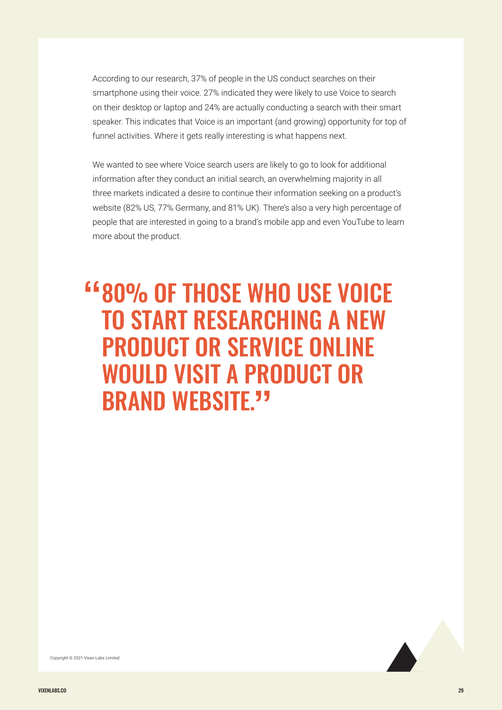According to our research, 37% of people in the US conduct searches on their smartphone using their voice. 27% indicated they were likely to use Voice to search on their desktop or laptop and 24% are actually conducting a search with their smart speaker. This indicates that Voice is an important (and growing) opportunity for top of funnel activities. Where it gets really interesting is what happens next.

We wanted to see where Voice search users are likely to go to look for additional information after they conduct an initial search, an overwhelming majority in all three markets indicated a desire to continue their information seeking on a product's website (82% US, 77% Germany, and 81% UK). There's also a very high percentage of people that are interested in going to a brand's mobile app and even YouTube to learn more about the product.

# 80% OF THOSE WHO USE VOICE " TO START RESEARCHING A NEW PRODUCT OR SERVICE ONLINE WOULD VISIT A PRODUCT OR BRAND WEBSITE."

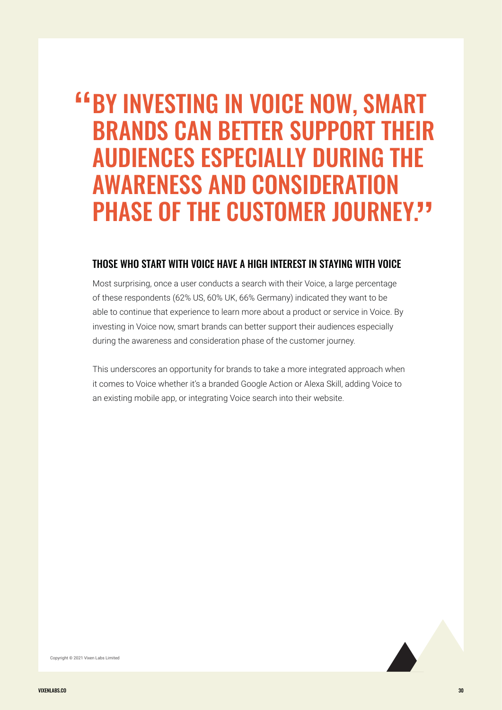## **EXAMPLE IN VOICE NOW, SMART PROVIDE SERVANCE CAN RETTER SUPPORT THEIR** BRANDS CAN BETTER SUPPORT THEIR AUDIENCES ESPECIALLY DURING THE AWARENESS AND CONSIDERATION PHASE OF THE CUSTOMER JOURNEY. ,<br>"

#### THOSE WHO START WITH VOICE HAVE A HIGH INTEREST IN STAYING WITH VOICE

Most surprising, once a user conducts a search with their Voice, a large percentage of these respondents (62% US, 60% UK, 66% Germany) indicated they want to be able to continue that experience to learn more about a product or service in Voice. By investing in Voice now, smart brands can better support their audiences especially during the awareness and consideration phase of the customer journey.

This underscores an opportunity for brands to take a more integrated approach when it comes to Voice whether it's a branded Google Action or Alexa Skill, adding Voice to an existing mobile app, or integrating Voice search into their website.

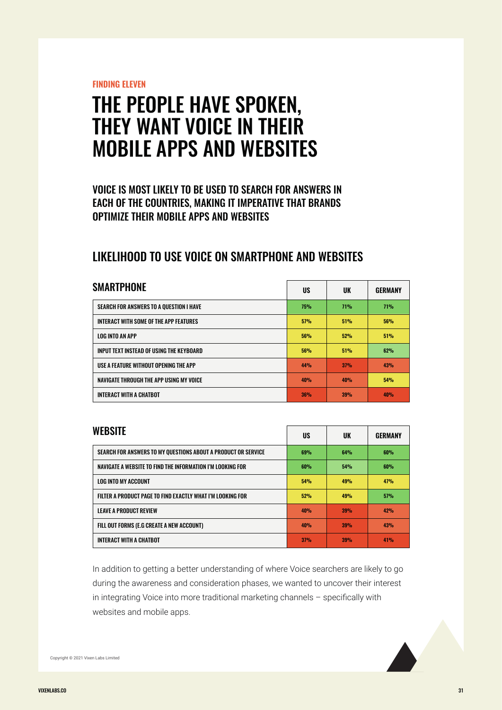**FINDING ELEVEN**

## THE PEOPLE HAVE SPOKEN, THEY WANT VOICE IN THEIR MOBILE APPS AND WEBSITES

#### VOICE IS MOST LIKELY TO BE USED TO SEARCH FOR ANSWERS IN EACH OF THE COUNTRIES, MAKING IT IMPERATIVE THAT BRANDS OPTIMIZE THEIR MOBILE APPS AND WEBSITES

## LIKELIHOOD TO USE VOICE ON SMARTPHONE AND WEBSITES

| <b>SMARTPHONE</b>                        | US         | UK         | <b>GERMANY</b> |
|------------------------------------------|------------|------------|----------------|
| SEARCH FOR ANSWERS TO A OUESTION I HAVE  | <b>75%</b> | <b>71%</b> | 71%            |
| INTERACT WITH SOME OF THE APP FEATURES   | 57%        | 51%        | 56%            |
| <b>LOG INTO AN APP</b>                   | 56%        | 52%        | 51%            |
| INPUT TEXT INSTEAD OF USING THE KEYBOARD | <b>56%</b> | 51%        | 62%            |
| USE A FEATURE WITHOUT OPENING THE APP    | 44%        | 37%        | 43%            |
| NAVIGATE THROUGH THE APP USING MY VOICE  | 40%        | 40%        | 54%            |
| <b>INTERACT WITH A CHATBOT</b>           | 36%        | 39%        | 40%            |

| <b>WEBSITE</b>                                                | US  | UK         | <b>GERMANY</b> |
|---------------------------------------------------------------|-----|------------|----------------|
| SEARCH FOR ANSWERS TO MY OUESTIONS ABOUT A PRODUCT OR SERVICE | 69% | 64%        | 60%            |
| NAVIGATE A WEBSITE TO FIND THE INFORMATION I'M LOOKING FOR    | 60% | 54%        | 60%            |
| <b>LOG INTO MY ACCOUNT</b>                                    | 54% | 49%        | 47%            |
| FILTER A PRODUCT PAGE TO FIND EXACTLY WHAT I'M LOOKING FOR    | 52% | 49%        | 57%            |
| <b>LEAVE A PRODUCT REVIEW</b>                                 | 40% | 39%        | 42%            |
| FILL OUT FORMS (E.G CREATE A NEW ACCOUNT)                     | 40% | <b>39%</b> | 43%            |
| <b>INTERACT WITH A CHATBOT</b>                                | 37% | 39%        | 41%            |

In addition to getting a better understanding of where Voice searchers are likely to go during the awareness and consideration phases, we wanted to uncover their interest in integrating Voice into more traditional marketing channels – specifically with websites and mobile apps.

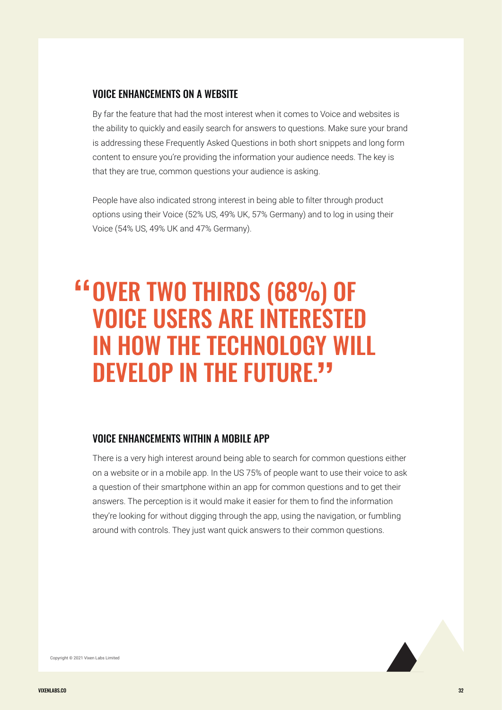#### VOICE ENHANCEMENTS ON A WEBSITE

By far the feature that had the most interest when it comes to Voice and websites is the ability to quickly and easily search for answers to questions. Make sure your brand is addressing these Frequently Asked Questions in both short snippets and long form content to ensure you're providing the information your audience needs. The key is that they are true, common questions your audience is asking.

People have also indicated strong interest in being able to filter through product options using their Voice (52% US, 49% UK, 57% Germany) and to log in using their Voice (54% US, 49% UK and 47% Germany).

# OVER TWO THIRDS (68%) OF " VOICE USERS ARE INTERESTED IN HOW THE TECHNOLOGY WILL DEVELOP IN THE FUTURE."

#### VOICE ENHANCEMENTS WITHIN A MOBILE APP

There is a very high interest around being able to search for common questions either on a website or in a mobile app. In the US 75% of people want to use their voice to ask a question of their smartphone within an app for common questions and to get their answers. The perception is it would make it easier for them to find the information they're looking for without digging through the app, using the navigation, or fumbling around with controls. They just want quick answers to their common questions.

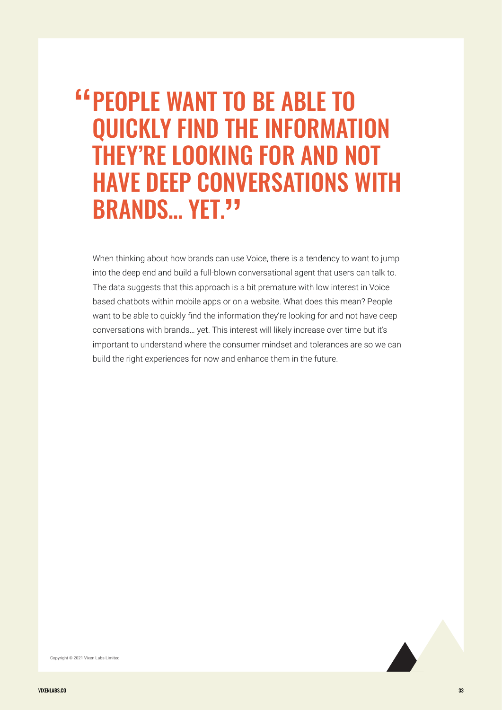# PEOPLE WANT TO BE ABLE TO " QUICKLY FIND THE INFORMATION THEY'RE LOOKING FOR AND NOT **HAVE DEEP CONVERSATIONS WITH**<br>RRANDS VET 33 BRANDS... YET."

When thinking about how brands can use Voice, there is a tendency to want to jump into the deep end and build a full-blown conversational agent that users can talk to. The data suggests that this approach is a bit premature with low interest in Voice based chatbots within mobile apps or on a website. What does this mean? People want to be able to quickly find the information they're looking for and not have deep conversations with brands… yet. This interest will likely increase over time but it's important to understand where the consumer mindset and tolerances are so we can build the right experiences for now and enhance them in the future.

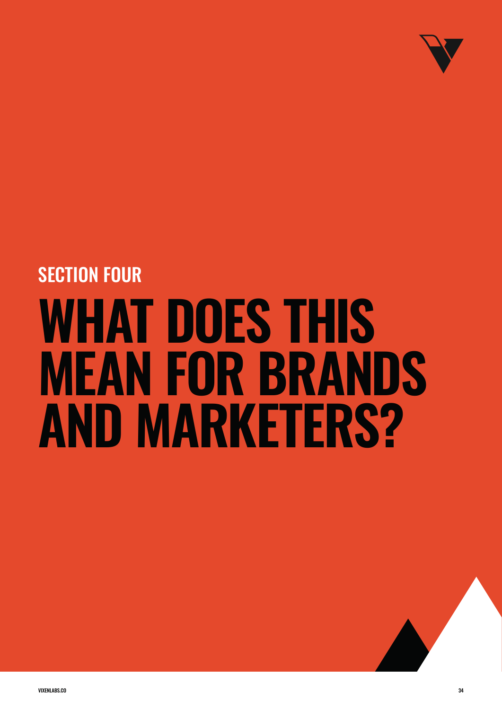

# **WHAT DOES THIS MEAN FOR BRANDS AND MARKETERS?** SECTION FOUR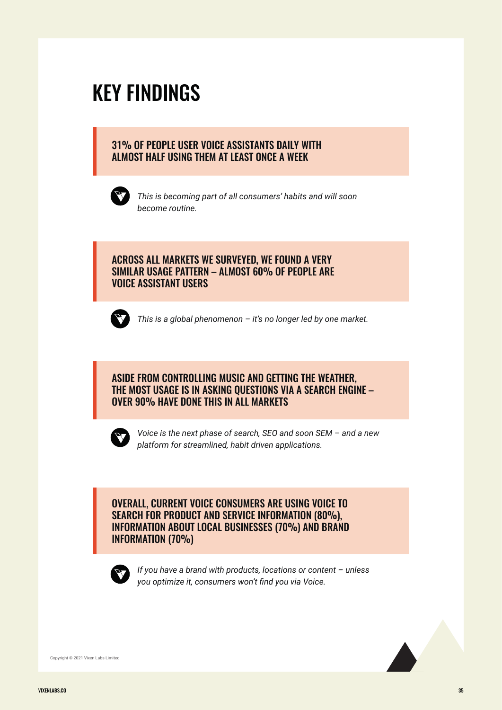## KEY FINDINGS

#### 31% OF PEOPLE USER VOICE ASSISTANTS DAILY WITH ALMOST HALF USING THEM AT LEAST ONCE A WEEK



*This is becoming part of all consumers' habits and will soon become routine.*

#### ACROSS ALL MARKETS WE SURVEYED, WE FOUND A VERY SIMILAR USAGE PATTERN – ALMOST 60% OF PEOPLE ARE VOICE ASSISTANT USERS



*This is a global phenomenon – it's no longer led by one market.*

#### ASIDE FROM CONTROLLING MUSIC AND GETTING THE WEATHER, THE MOST USAGE IS IN ASKING QUESTIONS VIA A SEARCH ENGINE – OVER 90% HAVE DONE THIS IN ALL MARKETS



*Voice is the next phase of search, SEO and soon SEM – and a new platform for streamlined, habit driven applications.*

OVERALL, CURRENT VOICE CONSUMERS ARE USING VOICE TO SEARCH FOR PRODUCT AND SERVICE INFORMATION (80%), INFORMATION ABOUT LOCAL BUSINESSES (70%) AND BRAND INFORMATION (70%)



*If you have a brand with products, locations or content – unless you optimize it, consumers won't find you via Voice.*

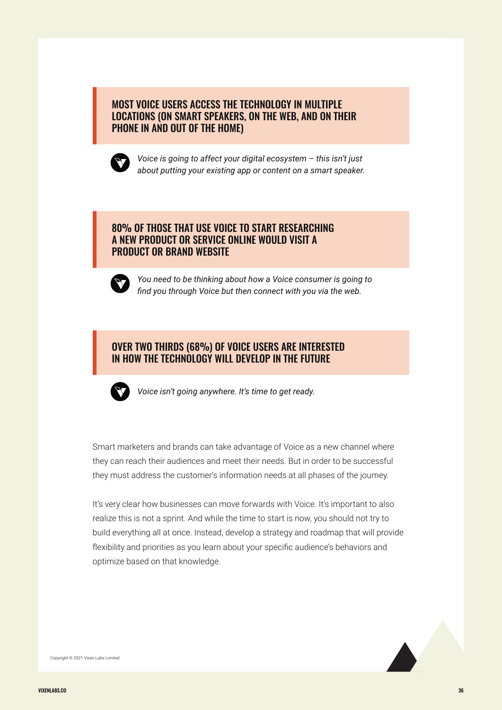#### MOST VOICE USERS ACCESS THE TECHNOLOGY IN MULTIPLE LOCATIONS (ON SMART SPEAKERS, ON THE WEB, AND ON THEIR PHONE IN AND OUT OF THE HOME)



*Voice is going to affect your digital ecosystem – this isn't just about putting your existing app or content on a smart speaker.*

#### 80% OF THOSE THAT USE VOICE TO START RESEARCHING A NEW PRODUCT OR SERVICE ONLINE WOULD VISIT A PRODUCT OR BRAND WEBSITE



*You need to be thinking about how a Voice consumer is going to find you through Voice but then connect with you via the web.*

#### OVER TWO THIRDS (68%) OF VOICE USERS ARE INTERESTED IN HOW THE TECHNOLOGY WILL DEVELOP IN THE FUTURE



*Voice isn't going anywhere. It's time to get ready.*

Smart marketers and brands can take advantage of Voice as a new channel where they can reach their audiences and meet their needs. But in order to be successful they must address the customer's information needs at all phases of the journey.

It's very clear how businesses can move forwards with Voice. It's important to also realize this is not a sprint. And while the time to start is now, you should not try to build everything all at once. Instead, develop a strategy and roadmap that will provide flexibility and priorities as you learn about your specific audience's behaviors and optimize based on that knowledge.

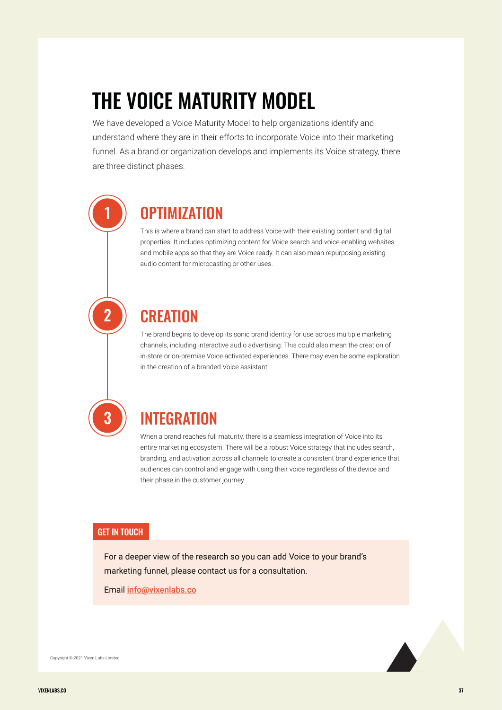# THE VOICE MATURITY MODEL

We have developed a Voice Maturity Model to help organizations identify and understand where they are in their efforts to incorporate Voice into their marketing funnel. As a brand or organization develops and implements its Voice strategy, there are three distinct phases:

## **OPTIMIZATION**

This is where a brand can start to address Voice with their existing content and digital properties. It includes optimizing content for Voice search and voice-enabling websites and mobile apps so that they are Voice-ready. It can also mean repurposing existing audio content for microcasting or other uses.

## **CREATION**

The brand begins to develop its sonic brand identity for use across multiple marketing channels, including interactive audio advertising. This could also mean the creation of in-store or on-premise Voice activated experiences. There may even be some exploration in the creation of a branded Voice assistant.

# 3

1

2

## INTEGRATION

When a brand reaches full maturity, there is a seamless integration of Voice into its entire marketing ecosystem. There will be a robust Voice strategy that includes search, branding, and activation across all channels to create a consistent brand experience that audiences can control and engage with using their voice regardless of the device and their phase in the customer journey.

#### GET IN TOUCH

For a deeper view of the research so you can add Voice to your brand's marketing funnel, please contact us for a consultation.

Email info@vixenlabs.co

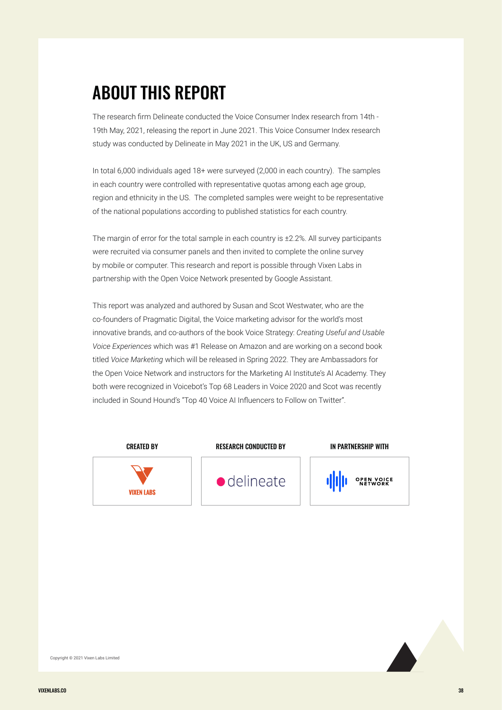## ABOUT THIS REPORT

The research firm Delineate conducted the Voice Consumer Index research from 14th - 19th May, 2021, releasing the report in June 2021. This Voice Consumer Index research study was conducted by Delineate in May 2021 in the UK, US and Germany.

In total 6,000 individuals aged 18+ were surveyed (2,000 in each country). The samples in each country were controlled with representative quotas among each age group, region and ethnicity in the US. The completed samples were weight to be representative of the national populations according to published statistics for each country.

The margin of error for the total sample in each country is ±2.2%. All survey participants were recruited via consumer panels and then invited to complete the online survey by mobile or computer. This research and report is possible through Vixen Labs in partnership with the Open Voice Network presented by Google Assistant.

This report was analyzed and authored by Susan and Scot Westwater, who are the co-founders of Pragmatic Digital, the Voice marketing advisor for the world's most innovative brands, and co-authors of the book Voice Strategy: *Creating Useful and Usable Voice Experiences* which was #1 Release on Amazon and are working on a second book titled *Voice Marketing* which will be released in Spring 2022. They are Ambassadors for the Open Voice Network and instructors for the Marketing AI Institute's AI Academy. They both were recognized in Voicebot's Top 68 Leaders in Voice 2020 and Scot was recently included in Sound Hound's "Top 40 Voice AI Influencers to Follow on Twitter".



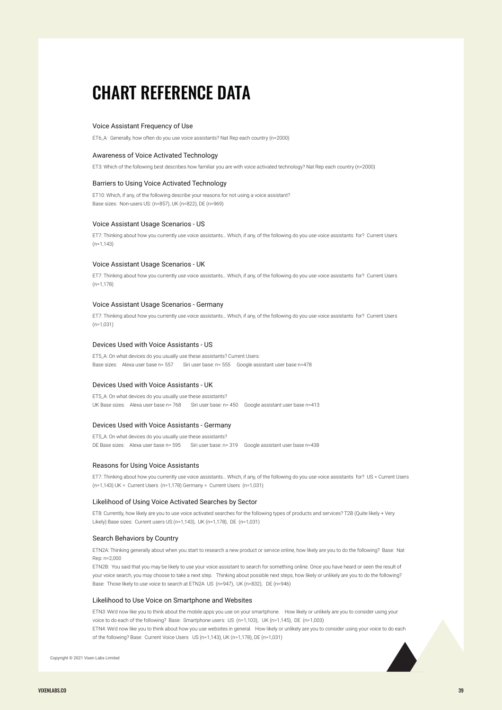## CHART REFERENCE DATA

#### Voice Assistant Frequency of Use

ET6\_A: Generally, how often do you use voice assistants? Nat Rep each country (n=2000)

#### Awareness of Voice Activated Technology

ET3: Which of the following best describes how familiar you are with voice activated technology? Nat Rep each country (n=2000)

#### Barriers to Using Voice Activated Technology

ET10: Which, if any, of the following describe your reasons for not using a voice assistant? Base sizes: Non-users US: (n=857), UK (n=822), DE (n=969)

#### Voice Assistant Usage Scenarios - US

ET7: Thinking about how you currently use voice assistants… Which, if any, of the following do you use voice assistants for? Current Users (n=1,143)

#### Voice Assistant Usage Scenarios - UK

ET7: Thinking about how you currently use voice assistants… Which, if any, of the following do you use voice assistants for? Current Users  $(n=1,178)$ 

#### Voice Assistant Usage Scenarios - Germany

ET7: Thinking about how you currently use voice assistants… Which, if any, of the following do you use voice assistants for? Current Users (n=1,031)

#### Devices Used with Voice Assistants - US

ET5\_A: On what devices do you usually use these assistants? Current Users: Base sizes: Alexa user base n= 557 Siri user base: n= 555 Google assistant user base n=478

#### Devices Used with Voice Assistants - UK

ET5\_A: On what devices do you usually use these assistants? UK Base sizes: Alexa user base n= 768 Siri user base: n= 450 Google assistant user base n=413

#### Devices Used with Voice Assistants - Germany

ET5\_A: On what devices do you usually use these assistants? DE Base sizes: Alexa user base n= 595 Siri user base: n= 319 Google assistant user base n=438

#### Reasons for Using Voice Assistants

ET7: Thinking about how you currently use voice assistants… Which, if any, of the following do you use voice assistants for? US = Current Users (n=1,143) UK = Current Users (n=1,178) Germany = Current Users (n=1,031)

#### Likelihood of Using Voice Activated Searches by Sector

ET8: Currently, how likely are you to use voice activated searches for the following types of products and services? T2B (Quite likely + Very Likely) Base sizes: Current users US (n=1,143), UK (n=1,178), DE (n=1,031)

#### Search Behaviors by Country

ETN2A: Thinking generally about when you start to research a new product or service online, how likely are you to do the following? Base: Nat Rep: n=2,000

ETN2B: You said that you may be likely to use your voice assistant to search for something online. Once you have heard or seen the result of your voice search, you may choose to take a next step. Thinking about possible next steps, how likely or unlikely are you to do the following? Base: Those likely to use voice to search at ETN2A US (n=947), UK (n=832), DE (n=946)

#### Likelihood to Use Voice on Smartphone and Websites

ETN3: We'd now like you to think about the mobile apps you use on your smartphone. How likely or unlikely are you to consider using your voice to do each of the following? Base: Smartphone users: US (n=1,103), UK (n=1,145), DE (n=1,003)

ETN4: We'd now like you to think about how you use websites in general. How likely or unlikely are you to consider using your voice to do each of the following? Base: Current Voice Users US (n=1,143), UK (n=1,178), DE (n=1,031)